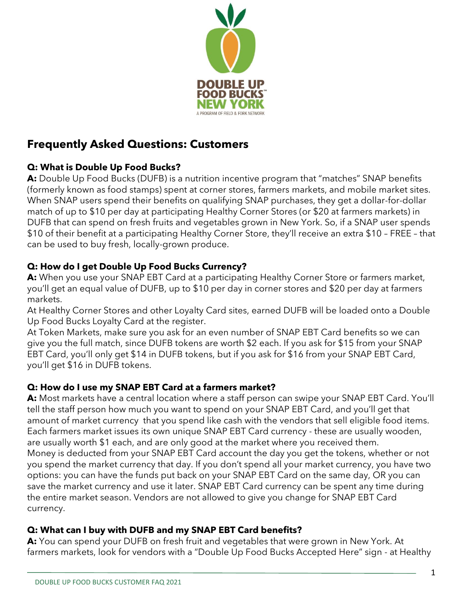

# **Frequently Asked Questions: Customers**

# **Q: What is Double Up Food Bucks?**

**A:** Double Up Food Bucks (DUFB) is a nutrition incentive program that "matches" SNAP benefits (formerly known as food stamps) spent at corner stores, farmers markets, and mobile market sites. When SNAP users spend their benefits on qualifying SNAP purchases, they get a dollar-for-dollar match of up to \$10 per day at participating Healthy Corner Stores (or \$20 at farmers markets) in DUFB that can spend on fresh fruits and vegetables grown in New York. So, if a SNAP user spends \$10 of their benefit at a participating Healthy Corner Store, they'll receive an extra \$10 – FREE – that can be used to buy fresh, locally-grown produce.

# **Q: How do I get Double Up Food Bucks Currency?**

**A:** When you use your SNAP EBT Card at a participating Healthy Corner Store or farmers market, you'll get an equal value of DUFB, up to \$10 per day in corner stores and \$20 per day at farmers markets.

At Healthy Corner Stores and other Loyalty Card sites, earned DUFB will be loaded onto a Double Up Food Bucks Loyalty Card at the register.

At Token Markets, make sure you ask for an even number of SNAP EBT Card benefits so we can give you the full match, since DUFB tokens are worth \$2 each. If you ask for \$15 from your SNAP EBT Card, you'll only get \$14 in DUFB tokens, but if you ask for \$16 from your SNAP EBT Card, you'll get \$16 in DUFB tokens.

## **Q: How do I use my SNAP EBT Card at a farmers market?**

**A:** Most markets have a central location where a staff person can swipe your SNAP EBT Card. You'll tell the staff person how much you want to spend on your SNAP EBT Card, and you'll get that amount of market currency that you spend like cash with the vendors that sell eligible food items. Each farmers market issues its own unique SNAP EBT Card currency - these are usually wooden, are usually worth \$1 each, and are only good at the market where you received them. Money is deducted from your SNAP EBT Card account the day you get the tokens, whether or not you spend the market currency that day. If you don't spend all your market currency, you have two options: you can have the funds put back on your SNAP EBT Card on the same day, OR you can save the market currency and use it later. SNAP EBT Card currency can be spent any time during the entire market season. Vendors are not allowed to give you change for SNAP EBT Card currency.

## **Q: What can I buy with DUFB and my SNAP EBT Card benefits?**

**A:** You can spend your DUFB on fresh fruit and vegetables that were grown in New York. At farmers markets, look for vendors with a "Double Up Food Bucks Accepted Here" sign - at Healthy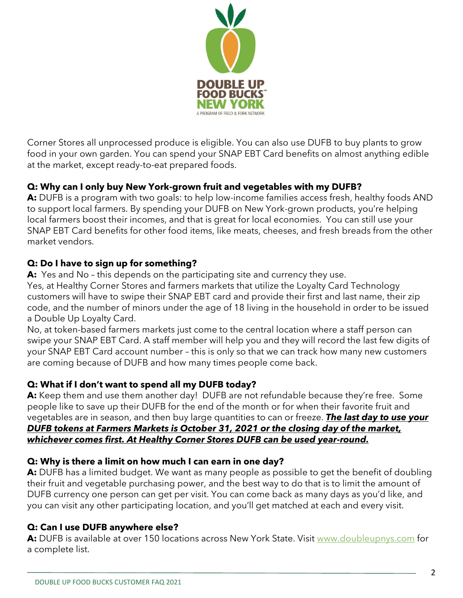

Corner Stores all unprocessed produce is eligible. You can also use DUFB to buy plants to grow food in your own garden. You can spend your SNAP EBT Card benefits on almost anything edible at the market, except ready-to-eat prepared foods.

## **Q: Why can I only buy New York-grown fruit and vegetables with my DUFB?**

A: DUFB is a program with two goals: to help low-income families access fresh, healthy foods AND to support local farmers. By spending your DUFB on New York-grown products, you're helping local farmers boost their incomes, and that is great for local economies. You can still use your SNAP EBT Card benefits for other food items, like meats, cheeses, and fresh breads from the other market vendors.

#### **Q: Do I have to sign up for something?**

**A:** Yes and No – this depends on the participating site and currency they use.

Yes, at Healthy Corner Stores and farmers markets that utilize the Loyalty Card Technology customers will have to swipe their SNAP EBT card and provide their first and last name, their zip code, and the number of minors under the age of 18 living in the household in order to be issued a Double Up Loyalty Card.

No, at token-based farmers markets just come to the central location where a staff person can swipe your SNAP EBT Card. A staff member will help you and they will record the last few digits of your SNAP EBT Card account number – this is only so that we can track how many new customers are coming because of DUFB and how many times people come back.

## **Q: What if I don't want to spend all my DUFB today?**

A: Keep them and use them another day! DUFB are not refundable because they're free. Some people like to save up their DUFB for the end of the month or for when their favorite fruit and vegetables are in season, and then buy large quantities to can or freeze. *The last day to use your DUFB tokens at Farmers Markets is October 31, 2021 or the closing day of the market, whichever comes first. At Healthy Corner Stores DUFB can be used year-round.*

#### **Q: Why is there a limit on how much I can earn in one day?**

**A:** DUFB has a limited budget. We want as many people as possible to get the benefit of doubling their fruit and vegetable purchasing power, and the best way to do that is to limit the amount of DUFB currency one person can get per visit. You can come back as many days as you'd like, and you can visit any other participating location, and you'll get matched at each and every visit.

#### **Q: Can I use DUFB anywhere else?**

A: DUFB is available at over 150 locations across New York State. Visit [www.doubleupnys.com](http://www.doubleupnys.com/) for a complete list.